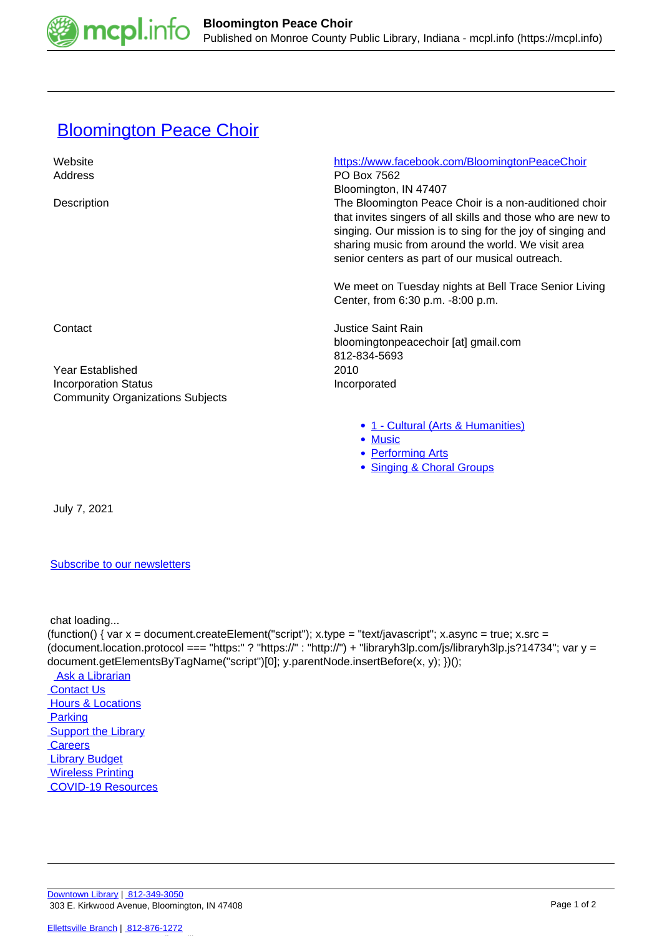

## **[Bloomington Peace Choir](https://mcpl.info/commorg/bloomington-peace-choir)**

| Website<br>Address                                              | https://www.facebook.com/BloomingtonPeaceChoir<br>PO Box 7562                                                                                                                                                                                                                                                        |
|-----------------------------------------------------------------|----------------------------------------------------------------------------------------------------------------------------------------------------------------------------------------------------------------------------------------------------------------------------------------------------------------------|
| Description                                                     | Bloomington, IN 47407<br>The Bloomington Peace Choir is a non-auditioned choir<br>that invites singers of all skills and those who are new to<br>singing. Our mission is to sing for the joy of singing and<br>sharing music from around the world. We visit area<br>senior centers as part of our musical outreach. |
|                                                                 | We meet on Tuesday nights at Bell Trace Senior Living<br>Center, from 6:30 p.m. -8:00 p.m.                                                                                                                                                                                                                           |
| Contact                                                         | <b>Justice Saint Rain</b><br>bloomingtonpeacechoir [at] gmail.com<br>812-834-5693                                                                                                                                                                                                                                    |
| Year Established                                                | 2010                                                                                                                                                                                                                                                                                                                 |
| Incorporation Status<br><b>Community Organizations Subjects</b> | Incorporated                                                                                                                                                                                                                                                                                                         |
|                                                                 | • 1 - Cultural (Arts & Humanities)                                                                                                                                                                                                                                                                                   |

- [Music](https://mcpl.info/taxonomy/term/25029)
- [Performing Arts](https://mcpl.info/taxonomy/term/25031)
- [Singing & Choral Groups](https://mcpl.info/taxonomy/term/25040)

July 7, 2021

## [Subscribe to our newsletters](https://mcpl.info/geninfo/subscribe-think-library-newsletter)

chat loading...

(function() { var  $x =$  document.createElement("script");  $x.$ type = "text/javascript";  $x.$ async = true;  $x.$ src = (document.location.protocol === "https:" ? "https://" : "http://") + "libraryh3lp.com/js/libraryh3lp.js?14734"; var y = document.getElementsByTagName("script")[0]; y.parentNode.insertBefore(x, y); })(); Ask a Librarian  [Contact Us](https://mcpl.info/geninfo/contact-us)

**Hours & Locations**  [Parking](https://mcpl.info/parking?utm_source=footer&utm_medium=links&utm_campaign=parking) **Support the Library Careers**  [Library Budget](https://budgetnotices.in.gov/unit_lookup.aspx?ct=53000)  [Wireless Printing](https://tbs.eprintit.com/portal/#/ppl/upload/monroecpl)  [COVID-19 Resources](https://mcpl.info/geninfo/local-covid-resources)